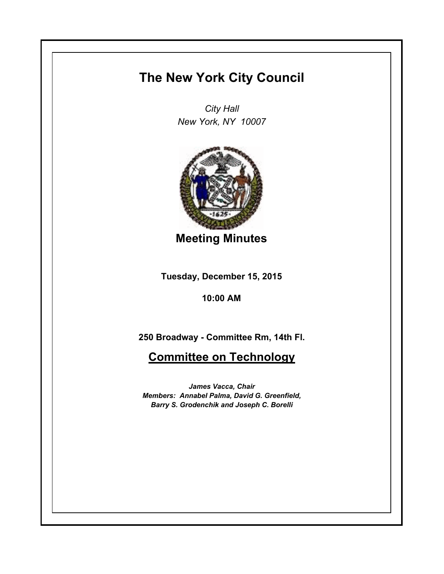# **The New York City Council**

*City Hall New York, NY 10007*



**Meeting Minutes**

**Tuesday, December 15, 2015**

**10:00 AM**

**250 Broadway - Committee Rm, 14th Fl.**

**Committee on Technology**

*James Vacca, Chair Members: Annabel Palma, David G. Greenfield, Barry S. Grodenchik and Joseph C. Borelli*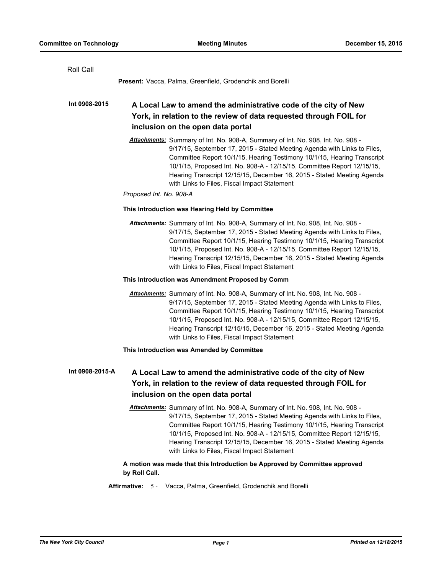| Roll Call                                                                                                                                                                                                                                                                                                                                                                                                                                                              |
|------------------------------------------------------------------------------------------------------------------------------------------------------------------------------------------------------------------------------------------------------------------------------------------------------------------------------------------------------------------------------------------------------------------------------------------------------------------------|
| Present: Vacca, Palma, Greenfield, Grodenchik and Borelli                                                                                                                                                                                                                                                                                                                                                                                                              |
| Int 0908-2015<br>A Local Law to amend the administrative code of the city of New<br>York, in relation to the review of data requested through FOIL for<br>inclusion on the open data portal                                                                                                                                                                                                                                                                            |
| Attachments: Summary of Int. No. 908-A, Summary of Int. No. 908, Int. No. 908 -<br>9/17/15, September 17, 2015 - Stated Meeting Agenda with Links to Files,<br>Committee Report 10/1/15, Hearing Testimony 10/1/15, Hearing Transcript<br>10/1/15, Proposed Int. No. 908-A - 12/15/15, Committee Report 12/15/15,<br>Hearing Transcript 12/15/15, December 16, 2015 - Stated Meeting Agenda<br>with Links to Files, Fiscal Impact Statement<br>Proposed Int. No. 908-A |
| This Introduction was Hearing Held by Committee                                                                                                                                                                                                                                                                                                                                                                                                                        |
| Attachments: Summary of Int. No. 908-A, Summary of Int. No. 908, Int. No. 908 -<br>9/17/15, September 17, 2015 - Stated Meeting Agenda with Links to Files,<br>Committee Report 10/1/15, Hearing Testimony 10/1/15, Hearing Transcript<br>10/1/15, Proposed Int. No. 908-A - 12/15/15, Committee Report 12/15/15,<br>Hearing Transcript 12/15/15, December 16, 2015 - Stated Meeting Agenda<br>with Links to Files, Fiscal Impact Statement                            |
| This Introduction was Amendment Proposed by Comm                                                                                                                                                                                                                                                                                                                                                                                                                       |
| Attachments: Summary of Int. No. 908-A, Summary of Int. No. 908, Int. No. 908 -<br>9/17/15, September 17, 2015 - Stated Meeting Agenda with Links to Files,<br>Committee Report 10/1/15, Hearing Testimony 10/1/15, Hearing Transcript<br>10/1/15, Proposed Int. No. 908-A - 12/15/15, Committee Report 12/15/15,<br>Hearing Transcript 12/15/15, December 16, 2015 - Stated Meeting Agenda<br>with Links to Files, Fiscal Impact Statement                            |
| This Introduction was Amended by Committee                                                                                                                                                                                                                                                                                                                                                                                                                             |
| Int 0908-2015-A<br>A Local Law to amend the administrative code of the city of New<br>York, in relation to the review of data requested through FOIL for<br>inclusion on the open data portal                                                                                                                                                                                                                                                                          |
| Attachments: Summary of Int. No. 908-A, Summary of Int. No. 908, Int. No. 908 -<br>9/17/15, September 17, 2015 - Stated Meeting Agenda with Links to Files,<br>Committee Report 10/1/15, Hearing Testimony 10/1/15, Hearing Transcript<br>10/1/15, Proposed Int. No. 908-A - 12/15/15, Committee Report 12/15/15,<br>Hearing Transcript 12/15/15, December 16, 2015 - Stated Meeting Agenda<br>with Links to Files, Fiscal Impact Statement                            |
| A motion was made that this Introduction be Approved by Committee approved<br>by Roll Call.                                                                                                                                                                                                                                                                                                                                                                            |
| Vacca, Palma, Greenfield, Grodenchik and Borelli<br><b>Affirmative: 5 -</b>                                                                                                                                                                                                                                                                                                                                                                                            |